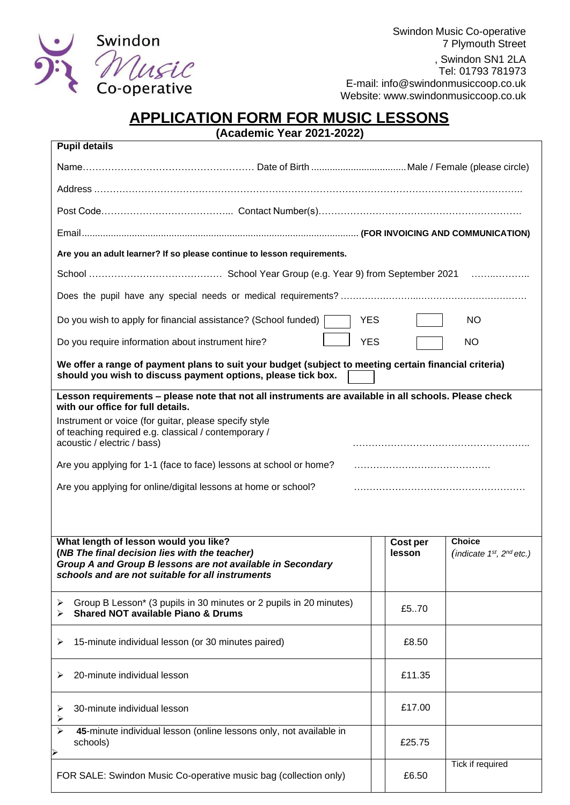

Swindon Music Co-operative 7 Plymouth Street , Swindon SN1 2LA Tel: 01793 781973 E-mail: [info@swindonmusiccoop.co.uk](mailto:info@swindonmusiccoop.co.uk) Website: [www.swindonmusiccoop.co.uk](http://www.swindonmusiccoop.co.uk/)

# **APPLICATION FORM FOR MUSIC LESSONS**

**(Academic Year 2021-2022)**

| <b>Pupil details</b>                                                                                                                                                                                     |                    |                                             |
|----------------------------------------------------------------------------------------------------------------------------------------------------------------------------------------------------------|--------------------|---------------------------------------------|
|                                                                                                                                                                                                          |                    |                                             |
|                                                                                                                                                                                                          |                    |                                             |
|                                                                                                                                                                                                          |                    |                                             |
|                                                                                                                                                                                                          |                    |                                             |
| Are you an adult learner? If so please continue to lesson requirements.                                                                                                                                  |                    |                                             |
|                                                                                                                                                                                                          |                    |                                             |
|                                                                                                                                                                                                          |                    |                                             |
| Do you wish to apply for financial assistance? (School funded)                                                                                                                                           | <b>YES</b>         | <b>NO</b>                                   |
| Do you require information about instrument hire?                                                                                                                                                        | <b>YES</b>         | <b>NO</b>                                   |
| We offer a range of payment plans to suit your budget (subject to meeting certain financial criteria)<br>should you wish to discuss payment options, please tick box.                                    |                    |                                             |
| Lesson requirements - please note that not all instruments are available in all schools. Please check<br>with our office for full details.                                                               |                    |                                             |
| Instrument or voice (for guitar, please specify style<br>of teaching required e.g. classical / contemporary /<br>acoustic / electric / bass)                                                             |                    |                                             |
| Are you applying for 1-1 (face to face) lessons at school or home?                                                                                                                                       |                    |                                             |
| Are you applying for online/digital lessons at home or school?                                                                                                                                           |                    |                                             |
|                                                                                                                                                                                                          |                    |                                             |
|                                                                                                                                                                                                          |                    |                                             |
| What length of lesson would you like?<br>(NB The final decision lies with the teacher)<br>Group A and Group B lessons are not available in Secondary<br>schools and are not suitable for all instruments | Cost per<br>lesson | <b>Choice</b><br>$(indicate 1st, 2nd etc.)$ |
| Group B Lesson* (3 pupils in 30 minutes or 2 pupils in 20 minutes)<br>➤<br><b>Shared NOT available Piano &amp; Drums</b>                                                                                 | £570               |                                             |
| 15-minute individual lesson (or 30 minutes paired)<br>⋗                                                                                                                                                  | £8.50              |                                             |
| 20-minute individual lesson<br>➤                                                                                                                                                                         | £11.35             |                                             |
| 30-minute individual lesson<br>➤<br>➤                                                                                                                                                                    | £17.00             |                                             |
| 45-minute individual lesson (online lessons only, not available in<br>➤<br>schools)                                                                                                                      | £25.75             |                                             |
| FOR SALE: Swindon Music Co-operative music bag (collection only)                                                                                                                                         | £6.50              | Tick if required                            |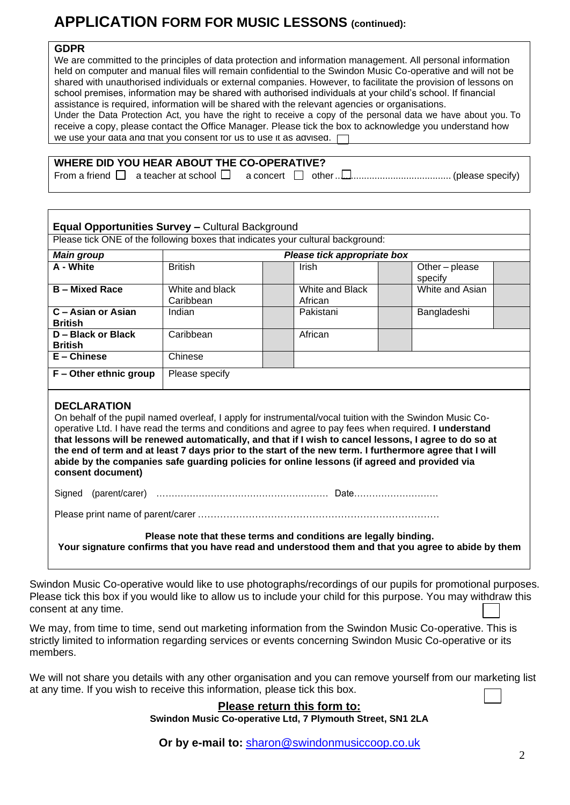# **APPLICATION FORM FOR MUSIC LESSONS (continued):**

### **GDPR**

We are committed to the principles of data protection and information management. All personal information held on computer and manual files will remain confidential to the Swindon Music Co-operative and will not be shared with unauthorised individuals or external companies. However, to facilitate the provision of lessons on school premises, information may be shared with authorised individuals at your child's school. If financial assistance is required, information will be shared with the relevant agencies or organisations. Under the Data Protection Act, you have the right to receive a copy of the personal data we have about you. To receive a copy, please contact the Office Manager. Please tick the box to acknowledge you understand how we use your data and that you consent for us to use it as advised.  $\Gamma$ 

| WHERE DID YOU HEAR ABOUT THE CO-OPERATIVE? |
|--------------------------------------------|
|--------------------------------------------|

From a friend a teacher at school a concert other............................................ (please specify)

| <b>Main group</b>                    |                              | Please tick appropriate box                                                                                                                                                                                                                                                                                                                                                                                                                                                                                                           |                         |
|--------------------------------------|------------------------------|---------------------------------------------------------------------------------------------------------------------------------------------------------------------------------------------------------------------------------------------------------------------------------------------------------------------------------------------------------------------------------------------------------------------------------------------------------------------------------------------------------------------------------------|-------------------------|
| A - White                            | <b>British</b>               | Irish                                                                                                                                                                                                                                                                                                                                                                                                                                                                                                                                 | Other-please<br>specify |
| <b>B</b> – Mixed Race                | White and black<br>Caribbean | White and Black<br>African                                                                                                                                                                                                                                                                                                                                                                                                                                                                                                            | White and Asian         |
| C - Asian or Asian<br><b>British</b> | Indian                       | Pakistani                                                                                                                                                                                                                                                                                                                                                                                                                                                                                                                             | Bangladeshi             |
| D - Black or Black<br><b>British</b> | Caribbean                    | African                                                                                                                                                                                                                                                                                                                                                                                                                                                                                                                               |                         |
| E - Chinese                          | Chinese                      |                                                                                                                                                                                                                                                                                                                                                                                                                                                                                                                                       |                         |
| F - Other ethnic group               | Please specify               |                                                                                                                                                                                                                                                                                                                                                                                                                                                                                                                                       |                         |
| <b>DECLARATION</b>                   |                              |                                                                                                                                                                                                                                                                                                                                                                                                                                                                                                                                       |                         |
| consent document)                    |                              | On behalf of the pupil named overleaf, I apply for instrumental/vocal tuition with the Swindon Music Co-<br>operative Ltd. I have read the terms and conditions and agree to pay fees when required. I understand<br>that lessons will be renewed automatically, and that if I wish to cancel lessons, I agree to do so at<br>the end of term and at least 7 days prior to the start of the new term. I furthermore agree that I will<br>abide by the companies safe guarding policies for online lessons (if agreed and provided via |                         |
| Signed                               |                              |                                                                                                                                                                                                                                                                                                                                                                                                                                                                                                                                       |                         |
|                                      |                              |                                                                                                                                                                                                                                                                                                                                                                                                                                                                                                                                       |                         |

Swindon Music Co-operative would like to use photographs/recordings of our pupils for promotional purposes. Please tick this box if you would like to allow us to include your child for this purpose. You may withdraw this consent at any time.

We may, from time to time, send out marketing information from the Swindon Music Co-operative. This is strictly limited to information regarding services or events concerning Swindon Music Co-operative or its members.

We will not share you details with any other organisation and you can remove yourself from our marketing list at any time. If you wish to receive this information, please tick this box.

### **Please return this form to:**

**Swindon Music Co-operative Ltd, 7 Plymouth Street, SN1 2LA**

**Or by e-mail to:** [sharon@swindonmusiccoop.co.uk](mailto:sharon@swindonmusiccoop.co.uk)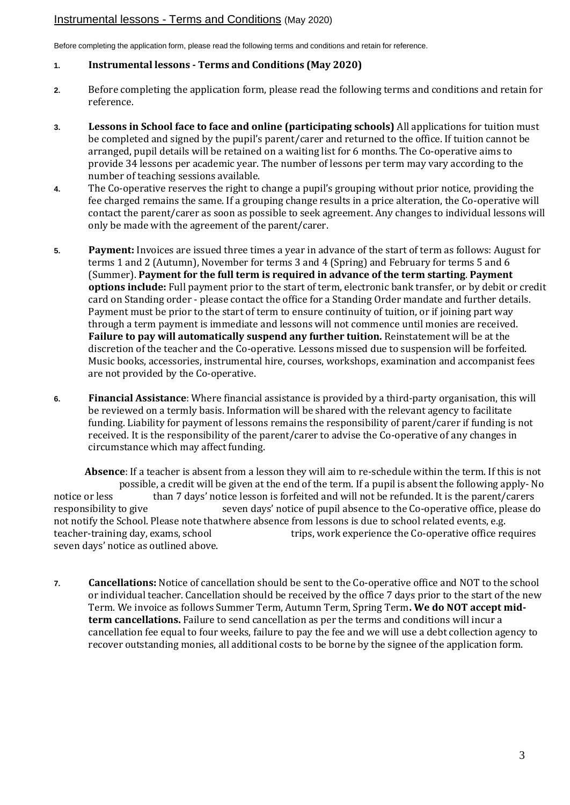## Instrumental lessons - Terms and Conditions (May 2020)

Before completing the application form, please read the following terms and conditions and retain for reference.

#### **1. Instrumental lessons - Terms and Conditions (May 2020)**

- **2.** Before completing the application form, please read the following terms and conditions and retain for reference.
- **3. Lessons in School face to face and online (participating schools)** All applications for tuition must be completed and signed by the pupil's parent/carer and returned to the office. If tuition cannot be arranged, pupil details will be retained on a waiting list for 6 months. The Co-operative aims to provide 34 lessons per academic year. The number of lessons per term may vary according to the number of teaching sessions available.
- **4.** The Co-operative reserves the right to change a pupil's grouping without prior notice, providing the fee charged remains the same. If a grouping change results in a price alteration, the Co-operative will contact the parent/carer as soon as possible to seek agreement. Any changes to individual lessons will only be made with the agreement of the parent/carer.
- **5. Payment:** Invoices are issued three times a year in advance of the start of term as follows: August for terms 1 and 2 (Autumn), November for terms 3 and 4 (Spring) and February for terms 5 and 6 (Summer). **Payment for the full term is required in advance of the term starting**. **Payment options include:** Full payment prior to the start of term, electronic bank transfer, or by debit or credit card on Standing order - please contact the office for a Standing Order mandate and further details. Payment must be prior to the start of term to ensure continuity of tuition, or if joining part way through a term payment is immediate and lessons will not commence until monies are received. **Failure to pay will automatically suspend any further tuition.** Reinstatement will be at the discretion of the teacher and the Co-operative. Lessons missed due to suspension will be forfeited. Music books, accessories, instrumental hire, courses, workshops, examination and accompanist fees are not provided by the Co-operative.
- **6. Financial Assistance**: Where financial assistance is provided by a third-party organisation, this will be reviewed on a termly basis. Information will be shared with the relevant agency to facilitate funding. Liability for payment of lessons remains the responsibility of parent/carer if funding is not received. It is the responsibility of the parent/carer to advise the Co-operative of any changes in circumstance which may affect funding.

**Absence**: If a teacher is absent from a lesson they will aim to re-schedule within the term. If this is not possible, a credit will be given at the end of the term. If a pupil is absent the following apply- No notice or less than 7 days' notice lesson is forfeited and will not be refunded. It is the parent/carers responsibility to give seven days' notice of pupil absence to the Co-operative office, please do not notify the School. Please note thatwhere absence from lessons is due to school related events, e.g. teacher-training day, exams, school trips, work experience the Co-operative office requires seven days' notice as outlined above.

**7. Cancellations:** Notice of cancellation should be sent to the Co-operative office and NOT to the school or individual teacher. Cancellation should be received by the office 7 days prior to the start of the new Term. We invoice as follows Summer Term, Autumn Term, Spring Term**. We do NOT accept midterm cancellations.** Failure to send cancellation as per the terms and conditions will incur a cancellation fee equal to four weeks, failure to pay the fee and we will use a debt collection agency to recover outstanding monies, all additional costs to be borne by the signee of the application form.